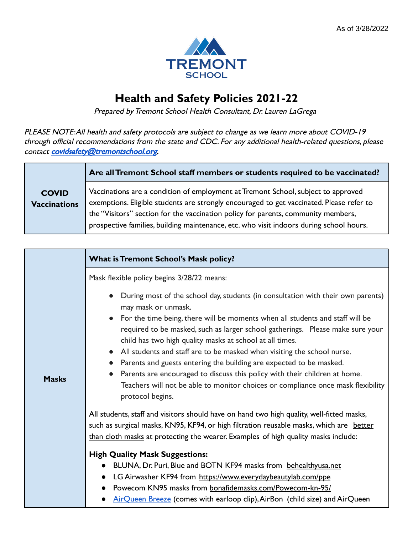

## **Health and Safety Policies 2021-22**

Prepared by Tremont School Health Consultant, Dr. Lauren LaGrega

PLEASE NOTE:All health and safety protocols are subject to change as we learn more about COVID-19 through official recommendations from the state and CDC. For any additional health-related questions, please contact [covidsafety@tremontschool.org](mailto:covidsafety@tremontschool.org).

|                                     | Are all Tremont School staff members or students required to be vaccinated?                                                                                                                                                                                                                                                                                   |
|-------------------------------------|---------------------------------------------------------------------------------------------------------------------------------------------------------------------------------------------------------------------------------------------------------------------------------------------------------------------------------------------------------------|
| <b>COVID</b><br><b>Vaccinations</b> | Vaccinations are a condition of employment at Tremont School, subject to approved<br>exemptions. Eligible students are strongly encouraged to get vaccinated. Please refer to<br>the "Visitors" section for the vaccination policy for parents, community members,<br>prospective families, building maintenance, etc. who visit indoors during school hours. |

|              | <b>What is Tremont School's Mask policy?</b>                                                                                                                                                                                                                                                                                                                                                                                                                                                                                                                                                                                                                                                |
|--------------|---------------------------------------------------------------------------------------------------------------------------------------------------------------------------------------------------------------------------------------------------------------------------------------------------------------------------------------------------------------------------------------------------------------------------------------------------------------------------------------------------------------------------------------------------------------------------------------------------------------------------------------------------------------------------------------------|
|              | Mask flexible policy begins 3/28/22 means:                                                                                                                                                                                                                                                                                                                                                                                                                                                                                                                                                                                                                                                  |
| <b>Masks</b> | During most of the school day, students (in consultation with their own parents)<br>may mask or unmask.<br>For the time being, there will be moments when all students and staff will be<br>required to be masked, such as larger school gatherings. Please make sure your<br>child has two high quality masks at school at all times.<br>All students and staff are to be masked when visiting the school nurse.<br>$\bullet$<br>Parents and guests entering the building are expected to be masked.<br>Parents are encouraged to discuss this policy with their children at home.<br>Teachers will not be able to monitor choices or compliance once mask flexibility<br>protocol begins. |
|              | All students, staff and visitors should have on hand two high quality, well-fitted masks,<br>such as surgical masks, KN95, KF94, or high filtration reusable masks, which are better<br>than cloth masks at protecting the wearer. Examples of high quality masks include:                                                                                                                                                                                                                                                                                                                                                                                                                  |
|              | <b>High Quality Mask Suggestions:</b><br>BLUNA, Dr. Puri, Blue and BOTN KF94 masks from behealthyusa.net<br>LG Airwasher KF94 from https://www.everydaybeautylab.com/ppe<br>Powecom KN95 masks from bonafidemasks.com/Powecom-kn-95/                                                                                                                                                                                                                                                                                                                                                                                                                                                        |
|              | AirQueen Breeze (comes with earloop clip), AirBon (child size) and AirQueen                                                                                                                                                                                                                                                                                                                                                                                                                                                                                                                                                                                                                 |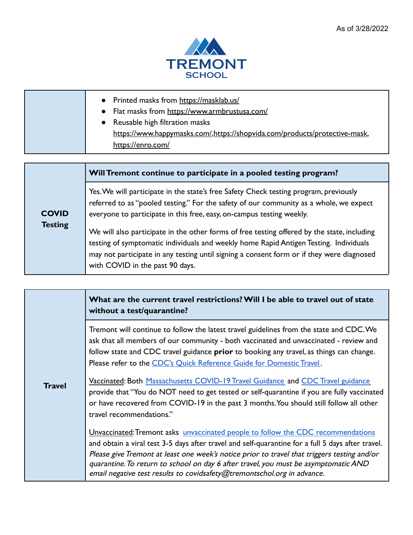

| • Printed masks from https://masklab.us/<br>• Flat masks from https://www.armbrustusa.com/<br>• Reusable high filtration masks<br>https://www.happymasks.com/.https://shopvida.com/products/protective-mask,<br>https://enro.com/ |
|-----------------------------------------------------------------------------------------------------------------------------------------------------------------------------------------------------------------------------------|
|-----------------------------------------------------------------------------------------------------------------------------------------------------------------------------------------------------------------------------------|

## **Will Tremont continue to participate in a pooled testing program?**

**COVID Testing** Yes.We will participate in the state's free Safety Check testing program, previously referred to as "pooled testing." For the safety of our community as a whole, we expect everyone to participate in this free, easy, on-campus testing weekly. We will also participate in the other forms of free testing offered by the state, including testing of symptomatic individuals and weekly home Rapid Antigen Testing. Individuals may not participate in any testing until signing a consent form or if they were diagnosed with COVID in the past 90 days.

| <b>Travel</b> | What are the current travel restrictions? Will I be able to travel out of state<br>without a test/quarantine?                                                                                                                                                                                                                                                                                                                                          |
|---------------|--------------------------------------------------------------------------------------------------------------------------------------------------------------------------------------------------------------------------------------------------------------------------------------------------------------------------------------------------------------------------------------------------------------------------------------------------------|
|               | Tremont will continue to follow the latest travel guidelines from the state and CDC. We<br>ask that all members of our community - both vaccinated and unvaccinated - review and<br>follow state and CDC travel guidance prior to booking any travel, as things can change.<br>Please refer to the CDC's Quick Reference Guide for Domestic Travel.                                                                                                    |
|               | Vaccinated: Both Massachusetts COVID-19 Travel Guidance and CDC Travel guidance<br>provide that "You do NOT need to get tested or self-quarantine if you are fully vaccinated<br>or have recovered from COVID-19 in the past 3 months. You should still follow all other<br>travel recommendations."                                                                                                                                                   |
|               | Unvaccinated: Tremont asks unvaccinated people to follow the CDC recommendations<br>and obtain a viral test 3-5 days after travel and self-quarantine for a full 5 days after travel.<br>Please give Tremont at least one week's notice prior to travel that triggers testing and/or<br>quarantine. To return to school on day 6 after travel, you must be asymptomatic AND<br>email negative test results to covidsafety@tremontschol.org in advance. |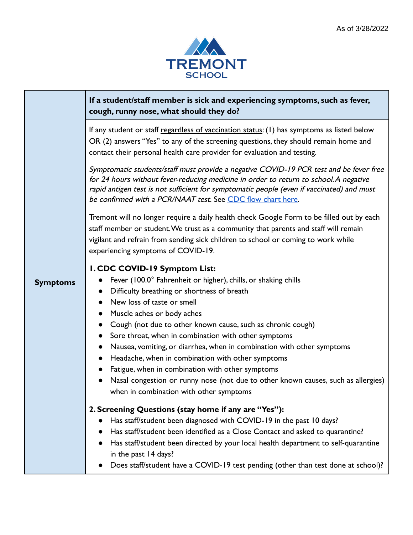

|                 | If a student/staff member is sick and experiencing symptoms, such as fever,<br>cough, runny nose, what should they do?                                                                                                                                                                                                                                                                                                                                                                                                                                                                                                                                                                                                                          |
|-----------------|-------------------------------------------------------------------------------------------------------------------------------------------------------------------------------------------------------------------------------------------------------------------------------------------------------------------------------------------------------------------------------------------------------------------------------------------------------------------------------------------------------------------------------------------------------------------------------------------------------------------------------------------------------------------------------------------------------------------------------------------------|
|                 | If any student or staff regardless of vaccination status: (1) has symptoms as listed below<br>OR (2) answers "Yes" to any of the screening questions, they should remain home and<br>contact their personal health care provider for evaluation and testing.                                                                                                                                                                                                                                                                                                                                                                                                                                                                                    |
| <b>Symptoms</b> | Symptomatic students/staff must provide a negative COVID-19 PCR test and be fever free<br>for 24 hours without fever-reducing medicine in order to return to school. A negative<br>rapid antigen test is not sufficient for symptomatic people (even if vaccinated) and must<br>be confirmed with a PCR/NAAT test. See CDC flow chart here.                                                                                                                                                                                                                                                                                                                                                                                                     |
|                 | Tremont will no longer require a daily health check Google Form to be filled out by each<br>staff member or student. We trust as a community that parents and staff will remain<br>vigilant and refrain from sending sick children to school or coming to work while<br>experiencing symptoms of COVID-19.                                                                                                                                                                                                                                                                                                                                                                                                                                      |
|                 | I. CDC COVID-19 Symptom List:<br>Fever (100.0° Fahrenheit or higher), chills, or shaking chills<br>$\bullet$<br>Difficulty breathing or shortness of breath<br>$\bullet$<br>New loss of taste or smell<br>Muscle aches or body aches<br>$\bullet$<br>Cough (not due to other known cause, such as chronic cough)<br>$\bullet$<br>Sore throat, when in combination with other symptoms<br>$\bullet$<br>Nausea, vomiting, or diarrhea, when in combination with other symptoms<br>Headache, when in combination with other symptoms<br>$\bullet$<br>Fatigue, when in combination with other symptoms<br>$\bullet$<br>Nasal congestion or runny nose (not due to other known causes, such as allergies)<br>when in combination with other symptoms |
|                 | 2. Screening Questions (stay home if any are "Yes"):<br>Has staff/student been diagnosed with COVID-19 in the past 10 days?<br>$\bullet$<br>Has staff/student been identified as a Close Contact and asked to quarantine?<br>Has staff/student been directed by your local health department to self-quarantine<br>in the past 14 days?<br>Does staff/student have a COVID-19 test pending (other than test done at school)?                                                                                                                                                                                                                                                                                                                    |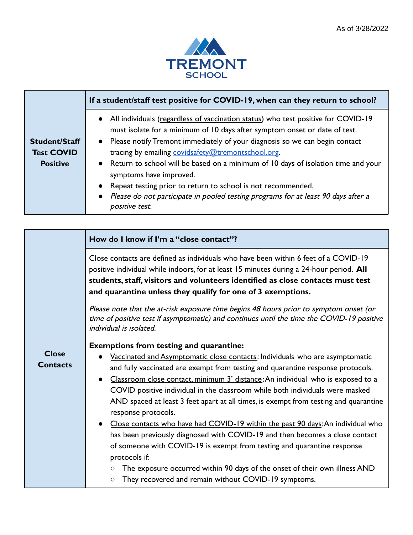

|                      | If a student/staff test positive for COVID-19, when can they return to school?                                                                                    |
|----------------------|-------------------------------------------------------------------------------------------------------------------------------------------------------------------|
|                      | • All individuals (regardless of vaccination status) who test positive for COVID-19<br>must isolate for a minimum of 10 days after symptom onset or date of test. |
| <b>Student/Staff</b> | • Please notify Tremont immediately of your diagnosis so we can begin contact                                                                                     |
| <b>Test COVID</b>    | tracing by emailing covidsafety@tremontschool.org.                                                                                                                |
| <b>Positive</b>      | • Return to school will be based on a minimum of 10 days of isolation time and your<br>symptoms have improved.                                                    |
|                      | • Repeat testing prior to return to school is not recommended.                                                                                                    |
|                      | Please do not participate in pooled testing programs for at least 90 days after a<br>positive test.                                                               |

т

|                                 | How do I know if I'm a "close contact"?                                                                                                                                                                                                                                                                                                                                                                                                                                                                                                                                                                                                                                                                                                                                                                         |
|---------------------------------|-----------------------------------------------------------------------------------------------------------------------------------------------------------------------------------------------------------------------------------------------------------------------------------------------------------------------------------------------------------------------------------------------------------------------------------------------------------------------------------------------------------------------------------------------------------------------------------------------------------------------------------------------------------------------------------------------------------------------------------------------------------------------------------------------------------------|
| <b>Close</b><br><b>Contacts</b> | Close contacts are defined as individuals who have been within 6 feet of a COVID-19<br>positive individual while indoors, for at least 15 minutes during a 24-hour period. All<br>students, staff, visitors and volunteers identified as close contacts must test<br>and quarantine unless they qualify for one of 3 exemptions.                                                                                                                                                                                                                                                                                                                                                                                                                                                                                |
|                                 | Please note that the at-risk exposure time begins 48 hours prior to symptom onset (or<br>time of positive test if asymptomatic) and continues until the time the COVID-19 positive<br>individual is isolated.                                                                                                                                                                                                                                                                                                                                                                                                                                                                                                                                                                                                   |
|                                 | <b>Exemptions from testing and quarantine:</b>                                                                                                                                                                                                                                                                                                                                                                                                                                                                                                                                                                                                                                                                                                                                                                  |
|                                 | Vaccinated and Asymptomatic close contacts: Individuals who are asymptomatic<br>and fully vaccinated are exempt from testing and quarantine response protocols.<br>Classroom close contact, minimum 3' distance: An individual who is exposed to a<br>COVID positive individual in the classroom while both individuals were masked<br>AND spaced at least 3 feet apart at all times, is exempt from testing and quarantine<br>response protocols.<br>• Close contacts who have had COVID-19 within the past 90 days: An individual who<br>has been previously diagnosed with COVID-19 and then becomes a close contact<br>of someone with COVID-19 is exempt from testing and quarantine response<br>protocols if:<br>The exposure occurred within 90 days of the onset of their own illness AND<br>$\bigcirc$ |
|                                 | They recovered and remain without COVID-19 symptoms.<br>$\circ$                                                                                                                                                                                                                                                                                                                                                                                                                                                                                                                                                                                                                                                                                                                                                 |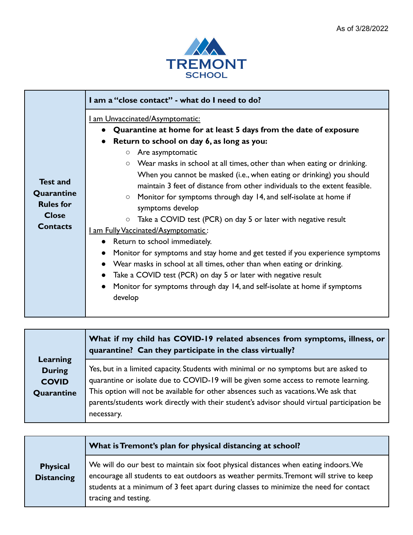

|                                                                                      | I am a "close contact" - what do I need to do?                                                                                                                                                                                                                                                                                                                                                                                                                                                                                                                                                                                                                                                                                                                                                                                                                                                                                                                                        |
|--------------------------------------------------------------------------------------|---------------------------------------------------------------------------------------------------------------------------------------------------------------------------------------------------------------------------------------------------------------------------------------------------------------------------------------------------------------------------------------------------------------------------------------------------------------------------------------------------------------------------------------------------------------------------------------------------------------------------------------------------------------------------------------------------------------------------------------------------------------------------------------------------------------------------------------------------------------------------------------------------------------------------------------------------------------------------------------|
| <b>Test and</b><br>Quarantine<br><b>Rules for</b><br><b>Close</b><br><b>Contacts</b> | <u>I am Unvaccinated/Asymptomatic:</u><br>Quarantine at home for at least 5 days from the date of exposure<br>Return to school on day 6, as long as you:<br>$\circ$ Are asymptomatic<br>Wear masks in school at all times, other than when eating or drinking.<br>When you cannot be masked (i.e., when eating or drinking) you should<br>maintain 3 feet of distance from other individuals to the extent feasible.<br>Monitor for symptoms through day 14, and self-isolate at home if<br>symptoms develop<br>Take a COVID test (PCR) on day 5 or later with negative result<br>$\circ$<br>I am Fully Vaccinated/Asymptomatic:<br>Return to school immediately.<br>Monitor for symptoms and stay home and get tested if you experience symptoms<br>Wear masks in school at all times, other than when eating or drinking.<br>Take a COVID test (PCR) on day 5 or later with negative result<br>Monitor for symptoms through day 14, and self-isolate at home if symptoms<br>develop |

|               | What if my child has COVID-19 related absences from symptoms, illness, or<br>quarantine? Can they participate in the class virtually? |
|---------------|---------------------------------------------------------------------------------------------------------------------------------------|
| Learning      |                                                                                                                                       |
| <b>During</b> | Yes, but in a limited capacity. Students with minimal or no symptoms but are asked to                                                 |
| <b>COVID</b>  | quarantine or isolate due to COVID-19 will be given some access to remote learning.                                                   |
| Quarantine    | This option will not be available for other absences such as vacations. We ask that                                                   |
|               | parents/students work directly with their student's advisor should virtual participation be                                           |
|               | necessary.                                                                                                                            |

|                                      | What is Tremont's plan for physical distancing at school?                                                                                                                                                                                                                                      |
|--------------------------------------|------------------------------------------------------------------------------------------------------------------------------------------------------------------------------------------------------------------------------------------------------------------------------------------------|
| <b>Physical</b><br><b>Distancing</b> | We will do our best to maintain six foot physical distances when eating indoors. We<br>encourage all students to eat outdoors as weather permits. Tremont will strive to keep<br>students at a minimum of 3 feet apart during classes to minimize the need for contact<br>tracing and testing. |